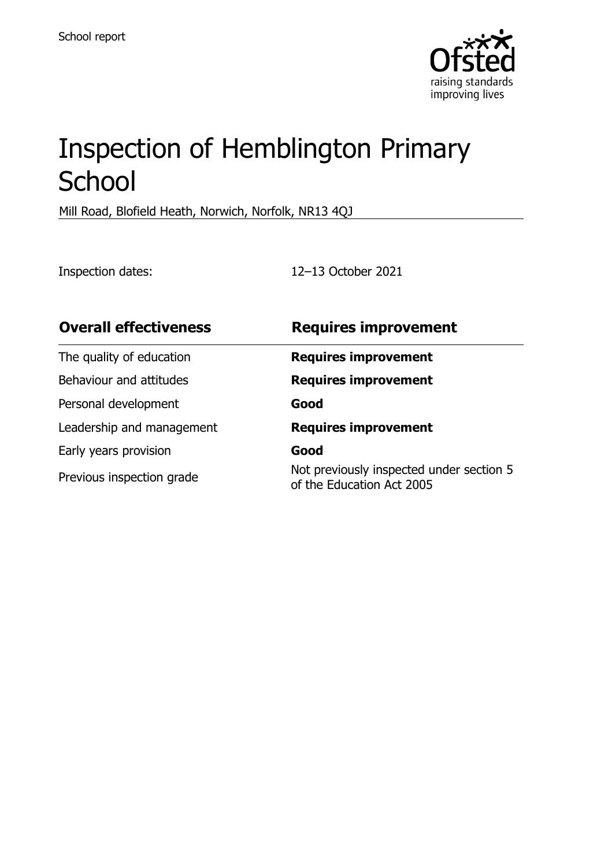

# Inspection of Hemblington Primary **School**

Mill Road, Blofield Heath, Norwich, Norfolk, NR13 4QJ

Inspection dates: 12–13 October 2021

| <b>Overall effectiveness</b> | <b>Requires improvement</b>                                           |
|------------------------------|-----------------------------------------------------------------------|
| The quality of education     | <b>Requires improvement</b>                                           |
| Behaviour and attitudes      | <b>Requires improvement</b>                                           |
| Personal development         | Good                                                                  |
| Leadership and management    | <b>Requires improvement</b>                                           |
| Early years provision        | Good                                                                  |
| Previous inspection grade    | Not previously inspected under section 5<br>of the Education Act 2005 |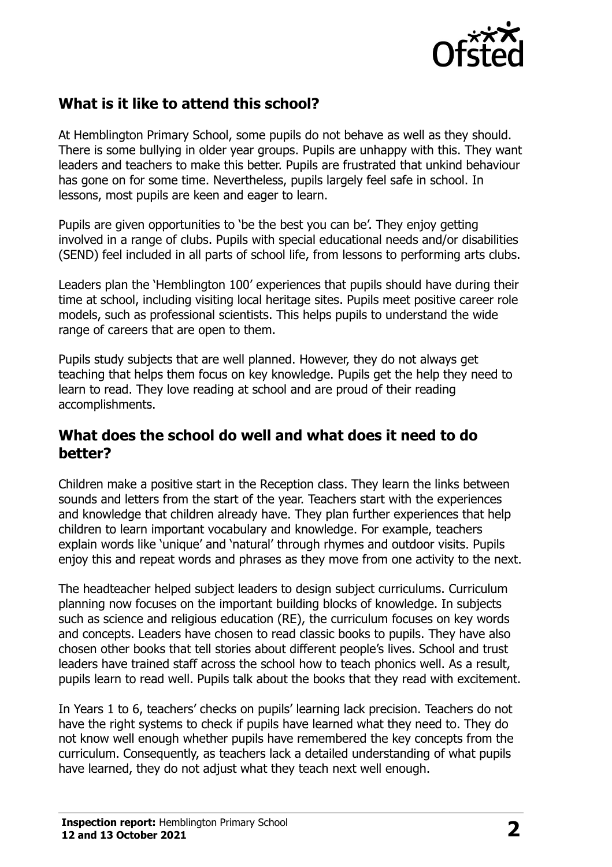

# **What is it like to attend this school?**

At Hemblington Primary School, some pupils do not behave as well as they should. There is some bullying in older year groups. Pupils are unhappy with this. They want leaders and teachers to make this better. Pupils are frustrated that unkind behaviour has gone on for some time. Nevertheless, pupils largely feel safe in school. In lessons, most pupils are keen and eager to learn.

Pupils are given opportunities to 'be the best you can be'. They enjoy getting involved in a range of clubs. Pupils with special educational needs and/or disabilities (SEND) feel included in all parts of school life, from lessons to performing arts clubs.

Leaders plan the 'Hemblington 100' experiences that pupils should have during their time at school, including visiting local heritage sites. Pupils meet positive career role models, such as professional scientists. This helps pupils to understand the wide range of careers that are open to them.

Pupils study subjects that are well planned. However, they do not always get teaching that helps them focus on key knowledge. Pupils get the help they need to learn to read. They love reading at school and are proud of their reading accomplishments.

#### **What does the school do well and what does it need to do better?**

Children make a positive start in the Reception class. They learn the links between sounds and letters from the start of the year. Teachers start with the experiences and knowledge that children already have. They plan further experiences that help children to learn important vocabulary and knowledge. For example, teachers explain words like 'unique' and 'natural' through rhymes and outdoor visits. Pupils enjoy this and repeat words and phrases as they move from one activity to the next.

The headteacher helped subject leaders to design subject curriculums. Curriculum planning now focuses on the important building blocks of knowledge. In subjects such as science and religious education (RE), the curriculum focuses on key words and concepts. Leaders have chosen to read classic books to pupils. They have also chosen other books that tell stories about different people's lives. School and trust leaders have trained staff across the school how to teach phonics well. As a result, pupils learn to read well. Pupils talk about the books that they read with excitement.

In Years 1 to 6, teachers' checks on pupils' learning lack precision. Teachers do not have the right systems to check if pupils have learned what they need to. They do not know well enough whether pupils have remembered the key concepts from the curriculum. Consequently, as teachers lack a detailed understanding of what pupils have learned, they do not adjust what they teach next well enough.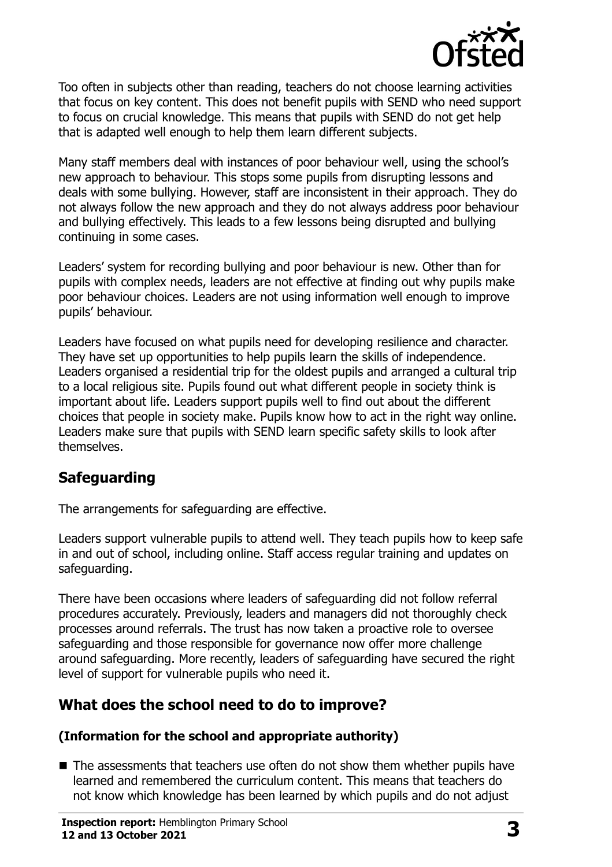

Too often in subjects other than reading, teachers do not choose learning activities that focus on key content. This does not benefit pupils with SEND who need support to focus on crucial knowledge. This means that pupils with SEND do not get help that is adapted well enough to help them learn different subjects.

Many staff members deal with instances of poor behaviour well, using the school's new approach to behaviour. This stops some pupils from disrupting lessons and deals with some bullying. However, staff are inconsistent in their approach. They do not always follow the new approach and they do not always address poor behaviour and bullying effectively. This leads to a few lessons being disrupted and bullying continuing in some cases.

Leaders' system for recording bullying and poor behaviour is new. Other than for pupils with complex needs, leaders are not effective at finding out why pupils make poor behaviour choices. Leaders are not using information well enough to improve pupils' behaviour.

Leaders have focused on what pupils need for developing resilience and character. They have set up opportunities to help pupils learn the skills of independence. Leaders organised a residential trip for the oldest pupils and arranged a cultural trip to a local religious site. Pupils found out what different people in society think is important about life. Leaders support pupils well to find out about the different choices that people in society make. Pupils know how to act in the right way online. Leaders make sure that pupils with SEND learn specific safety skills to look after themselves.

# **Safeguarding**

The arrangements for safeguarding are effective.

Leaders support vulnerable pupils to attend well. They teach pupils how to keep safe in and out of school, including online. Staff access regular training and updates on safeguarding.

There have been occasions where leaders of safeguarding did not follow referral procedures accurately. Previously, leaders and managers did not thoroughly check processes around referrals. The trust has now taken a proactive role to oversee safeguarding and those responsible for governance now offer more challenge around safeguarding. More recently, leaders of safeguarding have secured the right level of support for vulnerable pupils who need it.

# **What does the school need to do to improve?**

#### **(Information for the school and appropriate authority)**

 $\blacksquare$  The assessments that teachers use often do not show them whether pupils have learned and remembered the curriculum content. This means that teachers do not know which knowledge has been learned by which pupils and do not adjust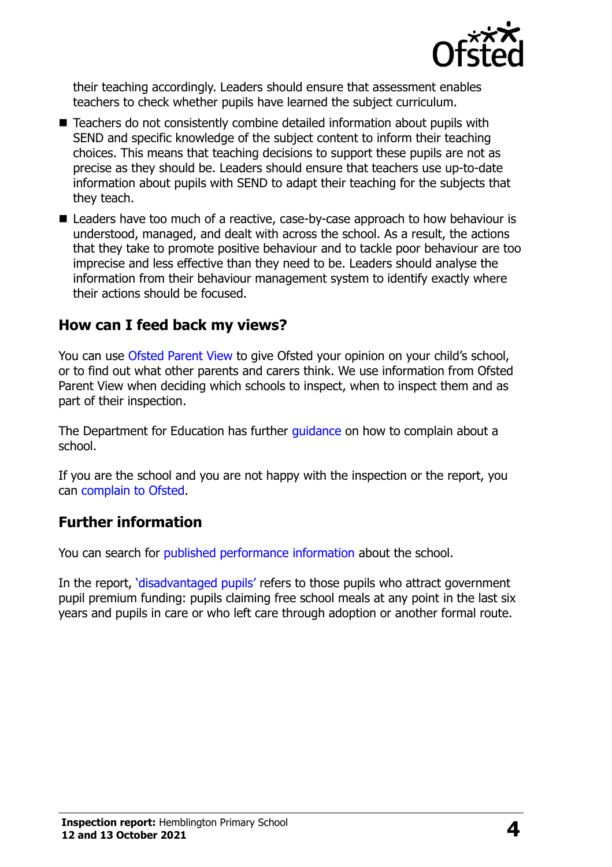

their teaching accordingly. Leaders should ensure that assessment enables teachers to check whether pupils have learned the subject curriculum.

- Teachers do not consistently combine detailed information about pupils with SEND and specific knowledge of the subject content to inform their teaching choices. This means that teaching decisions to support these pupils are not as precise as they should be. Leaders should ensure that teachers use up-to-date information about pupils with SEND to adapt their teaching for the subjects that they teach.
- Leaders have too much of a reactive, case-by-case approach to how behaviour is understood, managed, and dealt with across the school. As a result, the actions that they take to promote positive behaviour and to tackle poor behaviour are too imprecise and less effective than they need to be. Leaders should analyse the information from their behaviour management system to identify exactly where their actions should be focused.

### **How can I feed back my views?**

You can use [Ofsted Parent View](http://parentview.ofsted.gov.uk/) to give Ofsted your opinion on your child's school, or to find out what other parents and carers think. We use information from Ofsted Parent View when deciding which schools to inspect, when to inspect them and as part of their inspection.

The Department for Education has further [guidance](http://www.gov.uk/complain-about-school) on how to complain about a school.

If you are the school and you are not happy with the inspection or the report, you can [complain to Ofsted.](http://www.gov.uk/complain-ofsted-report)

## **Further information**

You can search for [published performance information](http://www.compare-school-performance.service.gov.uk/) about the school.

In the report, '[disadvantaged pupils](http://www.gov.uk/guidance/pupil-premium-information-for-schools-and-alternative-provision-settings)' refers to those pupils who attract government pupil premium funding: pupils claiming free school meals at any point in the last six years and pupils in care or who left care through adoption or another formal route.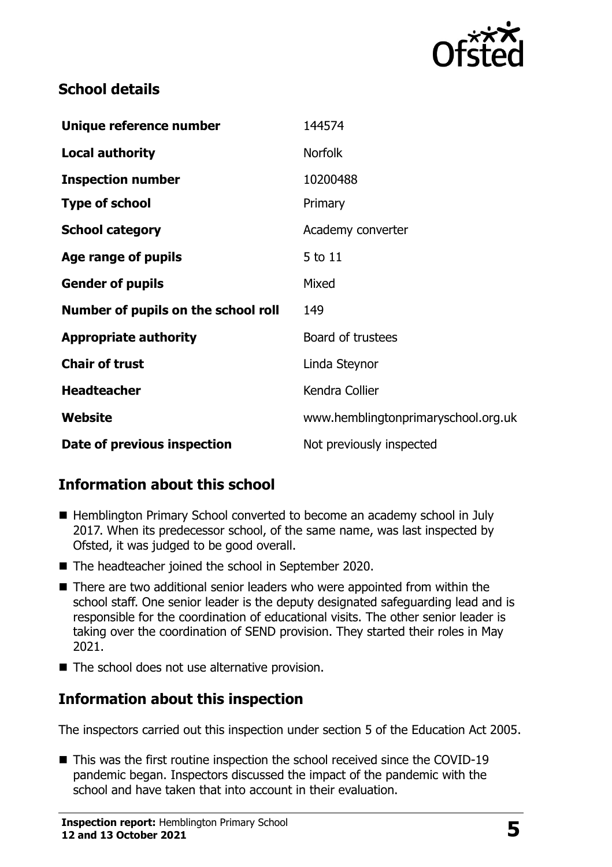

## **School details**

| Unique reference number             | 144574                              |
|-------------------------------------|-------------------------------------|
| <b>Local authority</b>              | <b>Norfolk</b>                      |
| <b>Inspection number</b>            | 10200488                            |
| <b>Type of school</b>               | Primary                             |
| <b>School category</b>              | Academy converter                   |
| Age range of pupils                 | 5 to 11                             |
| <b>Gender of pupils</b>             | Mixed                               |
| Number of pupils on the school roll | 149                                 |
| <b>Appropriate authority</b>        | Board of trustees                   |
| <b>Chair of trust</b>               | Linda Steynor                       |
| <b>Headteacher</b>                  | Kendra Collier                      |
| Website                             | www.hemblingtonprimaryschool.org.uk |
| Date of previous inspection         | Not previously inspected            |

# **Information about this school**

- Hemblington Primary School converted to become an academy school in July 2017. When its predecessor school, of the same name, was last inspected by Ofsted, it was judged to be good overall.
- The headteacher joined the school in September 2020.
- There are two additional senior leaders who were appointed from within the school staff. One senior leader is the deputy designated safeguarding lead and is responsible for the coordination of educational visits. The other senior leader is taking over the coordination of SEND provision. They started their roles in May 2021.
- The school does not use alternative provision.

# **Information about this inspection**

The inspectors carried out this inspection under section 5 of the Education Act 2005.

■ This was the first routine inspection the school received since the COVID-19 pandemic began. Inspectors discussed the impact of the pandemic with the school and have taken that into account in their evaluation.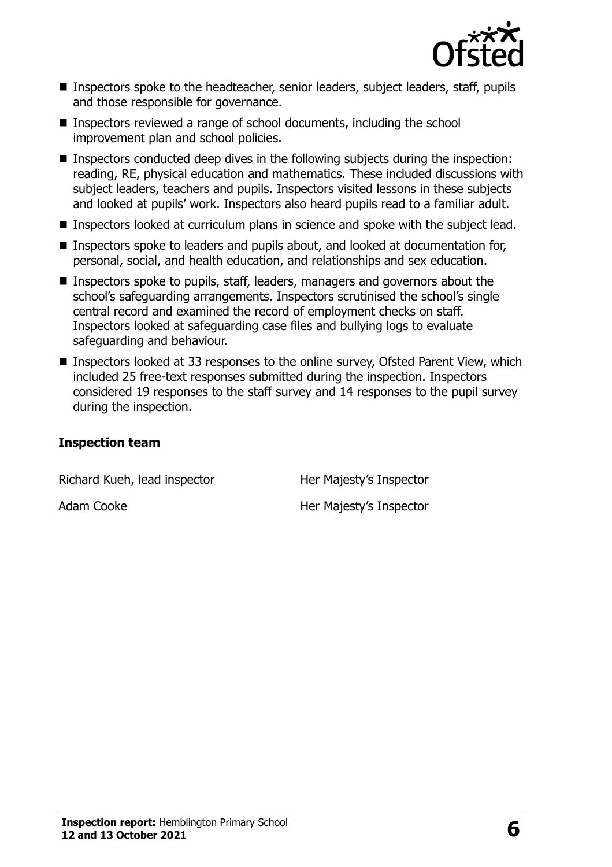

- Inspectors spoke to the headteacher, senior leaders, subject leaders, staff, pupils and those responsible for governance.
- Inspectors reviewed a range of school documents, including the school improvement plan and school policies.
- Inspectors conducted deep dives in the following subjects during the inspection: reading, RE, physical education and mathematics. These included discussions with subject leaders, teachers and pupils. Inspectors visited lessons in these subjects and looked at pupils' work. Inspectors also heard pupils read to a familiar adult.
- **Inspectors looked at curriculum plans in science and spoke with the subject lead.**
- Inspectors spoke to leaders and pupils about, and looked at documentation for, personal, social, and health education, and relationships and sex education.
- **Inspectors spoke to pupils, staff, leaders, managers and governors about the** school's safeguarding arrangements. Inspectors scrutinised the school's single central record and examined the record of employment checks on staff. Inspectors looked at safeguarding case files and bullying logs to evaluate safeguarding and behaviour.
- Inspectors looked at 33 responses to the online survey, Ofsted Parent View, which included 25 free-text responses submitted during the inspection. Inspectors considered 19 responses to the staff survey and 14 responses to the pupil survey during the inspection.

#### **Inspection team**

Richard Kueh, lead inspector **Her Majesty's Inspector** 

Adam Cooke **Her Majesty's Inspector**